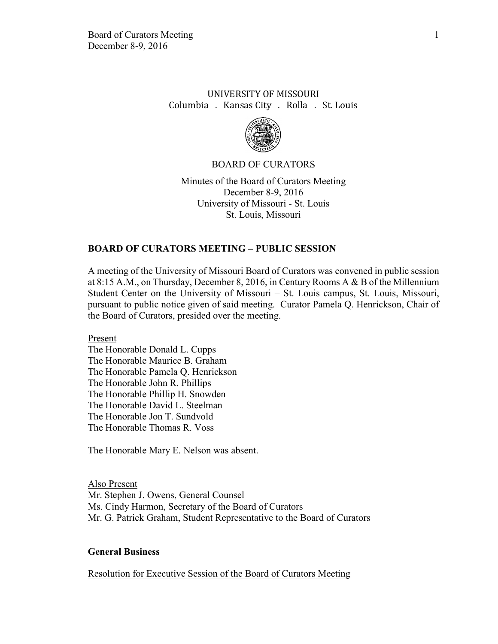# UNIVERSITY OF MISSOURI Columbia . Kansas City . Rolla . St. Louis



#### BOARD OF CURATORS

Minutes of the Board of Curators Meeting December 8-9, 2016 University of Missouri - St. Louis St. Louis, Missouri

### **BOARD OF CURATORS MEETING – PUBLIC SESSION**

A meeting of the University of Missouri Board of Curators was convened in public session at 8:15 A.M., on Thursday, December 8, 2016, in Century Rooms A & B of the Millennium Student Center on the University of Missouri – St. Louis campus, St. Louis, Missouri, pursuant to public notice given of said meeting. Curator Pamela Q. Henrickson, Chair of the Board of Curators, presided over the meeting.

Present

The Honorable Donald L. Cupps The Honorable Maurice B. Graham The Honorable Pamela Q. Henrickson The Honorable John R. Phillips The Honorable Phillip H. Snowden The Honorable David L. Steelman The Honorable Jon T. Sundvold The Honorable Thomas R. Voss

The Honorable Mary E. Nelson was absent.

Also Present Mr. Stephen J. Owens, General Counsel Ms. Cindy Harmon, Secretary of the Board of Curators Mr. G. Patrick Graham, Student Representative to the Board of Curators

#### **General Business**

Resolution for Executive Session of the Board of Curators Meeting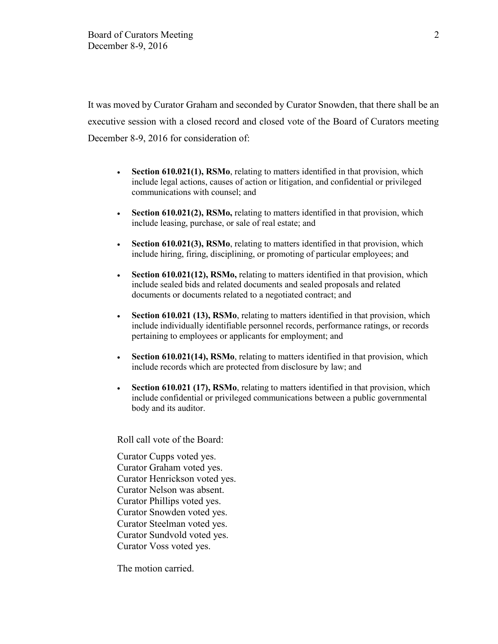It was moved by Curator Graham and seconded by Curator Snowden, that there shall be an executive session with a closed record and closed vote of the Board of Curators meeting December 8-9, 2016 for consideration of:

- **Section 610.021(1), RSMo**, relating to matters identified in that provision, which include legal actions, causes of action or litigation, and confidential or privileged communications with counsel; and
- **Section 610.021(2), RSMo,** relating to matters identified in that provision, which include leasing, purchase, or sale of real estate; and
- **Section 610.021(3), RSMo**, relating to matters identified in that provision, which include hiring, firing, disciplining, or promoting of particular employees; and
- **Section 610.021(12), RSMo,** relating to matters identified in that provision, which include sealed bids and related documents and sealed proposals and related documents or documents related to a negotiated contract; and
- **Section 610.021 (13), RSMo**, relating to matters identified in that provision, which include individually identifiable personnel records, performance ratings, or records pertaining to employees or applicants for employment; and
- **Section 610.021(14), RSMo**, relating to matters identified in that provision, which include records which are protected from disclosure by law; and
- **Section 610.021 (17), RSMo**, relating to matters identified in that provision, which include confidential or privileged communications between a public governmental body and its auditor.

Roll call vote of the Board:

Curator Cupps voted yes. Curator Graham voted yes. Curator Henrickson voted yes. Curator Nelson was absent. Curator Phillips voted yes. Curator Snowden voted yes. Curator Steelman voted yes. Curator Sundvold voted yes. Curator Voss voted yes.

The motion carried.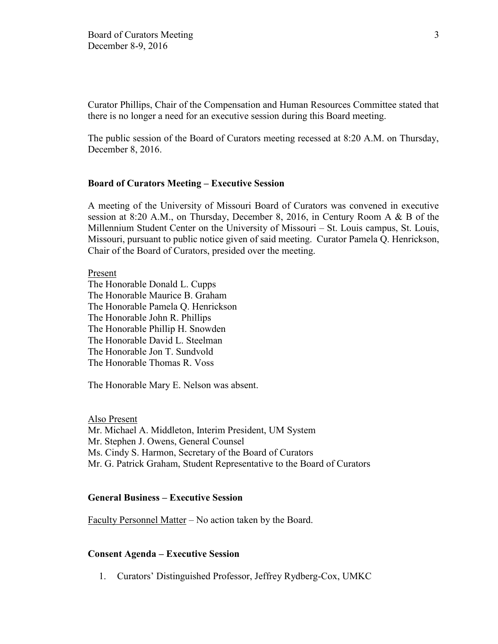Curator Phillips, Chair of the Compensation and Human Resources Committee stated that there is no longer a need for an executive session during this Board meeting.

The public session of the Board of Curators meeting recessed at 8:20 A.M. on Thursday, December 8, 2016.

### **Board of Curators Meeting – Executive Session**

A meeting of the University of Missouri Board of Curators was convened in executive session at 8:20 A.M., on Thursday, December 8, 2016, in Century Room A & B of the Millennium Student Center on the University of Missouri – St. Louis campus, St. Louis, Missouri, pursuant to public notice given of said meeting. Curator Pamela Q. Henrickson, Chair of the Board of Curators, presided over the meeting.

Present

The Honorable Donald L. Cupps The Honorable Maurice B. Graham The Honorable Pamela Q. Henrickson The Honorable John R. Phillips The Honorable Phillip H. Snowden The Honorable David L. Steelman The Honorable Jon T. Sundvold The Honorable Thomas R. Voss

The Honorable Mary E. Nelson was absent.

Also Present Mr. Michael A. Middleton, Interim President, UM System Mr. Stephen J. Owens, General Counsel Ms. Cindy S. Harmon, Secretary of the Board of Curators Mr. G. Patrick Graham, Student Representative to the Board of Curators

### **General Business – Executive Session**

Faculty Personnel Matter – No action taken by the Board.

#### **Consent Agenda – Executive Session**

1. Curators' Distinguished Professor, Jeffrey Rydberg-Cox, UMKC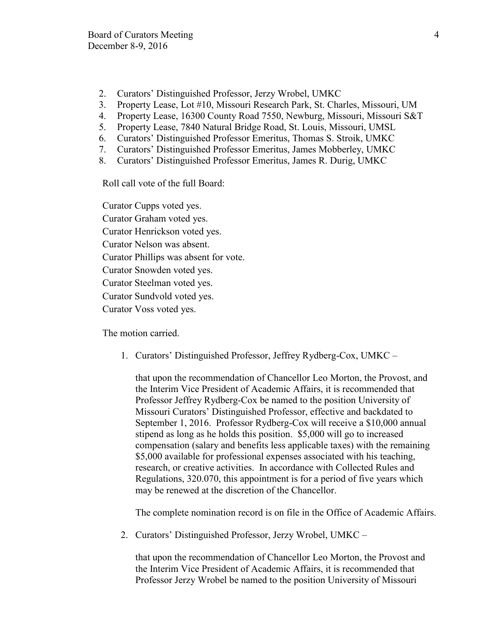- 2. Curators' Distinguished Professor, Jerzy Wrobel, UMKC
- 3. Property Lease, Lot #10, Missouri Research Park, St. Charles, Missouri, UM
- 4. Property Lease, 16300 County Road 7550, Newburg, Missouri, Missouri S&T
- 5. Property Lease, 7840 Natural Bridge Road, St. Louis, Missouri, UMSL
- 6. Curators' Distinguished Professor Emeritus, Thomas S. Stroik, UMKC
- 7. Curators' Distinguished Professor Emeritus, James Mobberley, UMKC
- 8. Curators' Distinguished Professor Emeritus, James R. Durig, UMKC

Roll call vote of the full Board:

Curator Cupps voted yes. Curator Graham voted yes. Curator Henrickson voted yes. Curator Nelson was absent. Curator Phillips was absent for vote. Curator Snowden voted yes. Curator Steelman voted yes. Curator Sundvold voted yes. Curator Voss voted yes.

The motion carried.

1. Curators' Distinguished Professor, Jeffrey Rydberg-Cox, UMKC –

that upon the recommendation of Chancellor Leo Morton, the Provost, and the Interim Vice President of Academic Affairs, it is recommended that Professor Jeffrey Rydberg-Cox be named to the position University of Missouri Curators' Distinguished Professor, effective and backdated to September 1, 2016. Professor Rydberg-Cox will receive a \$10,000 annual stipend as long as he holds this position. \$5,000 will go to increased compensation (salary and benefits less applicable taxes) with the remaining \$5,000 available for professional expenses associated with his teaching, research, or creative activities. In accordance with Collected Rules and Regulations, 320.070, this appointment is for a period of five years which may be renewed at the discretion of the Chancellor.

The complete nomination record is on file in the Office of Academic Affairs.

2. Curators' Distinguished Professor, Jerzy Wrobel, UMKC –

that upon the recommendation of Chancellor Leo Morton, the Provost and the Interim Vice President of Academic Affairs, it is recommended that Professor Jerzy Wrobel be named to the position University of Missouri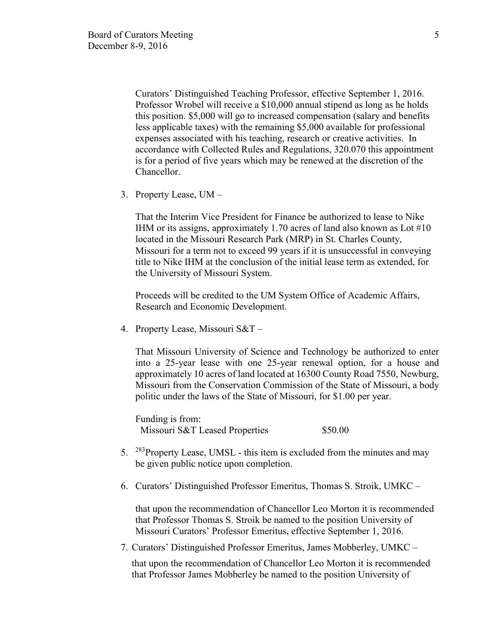Curators' Distinguished Teaching Professor, effective September 1, 2016. Professor Wrobel will receive a \$10,000 annual stipend as long as he holds this position. \$5,000 will go to increased compensation (salary and benefits less applicable taxes) with the remaining \$5,000 available for professional expenses associated with his teaching, research or creative activities. In accordance with Collected Rules and Regulations, 320.070 this appointment is for a period of five years which may be renewed at the discretion of the Chancellor.

3. Property Lease, UM –

That the Interim Vice President for Finance be authorized to lease to Nike IHM or its assigns, approximately 1.70 acres of land also known as Lot #10 located in the Missouri Research Park (MRP) in St. Charles County, Missouri for a term not to exceed 99 years if it is unsuccessful in conveying title to Nike IHM at the conclusion of the initial lease term as extended, for the University of Missouri System.

Proceeds will be credited to the UM System Office of Academic Affairs, Research and Economic Development.

4. Property Lease, Missouri S&T –

That Missouri University of Science and Technology be authorized to enter into a 25-year lease with one 25-year renewal option, for a house and approximately 10 acres of land located at 16300 County Road 7550, Newburg, Missouri from the Conservation Commission of the State of Missouri, a body politic under the laws of the State of Missouri, for \$1.00 per year.

Funding is from: Missouri S&T Leased Properties \$50.00

- 5.  $^{283}$ Property Lease, UMSL this item is excluded from the minutes and may be given public notice upon completion.
- 6. Curators' Distinguished Professor Emeritus, Thomas S. Stroik, UMKC –

that upon the recommendation of Chancellor Leo Morton it is recommended that Professor Thomas S. Stroik be named to the position University of Missouri Curators' Professor Emeritus, effective September 1, 2016.

7. Curators' Distinguished Professor Emeritus, James Mobberley, UMKC –

that upon the recommendation of Chancellor Leo Morton it is recommended that Professor James Mobberley be named to the position University of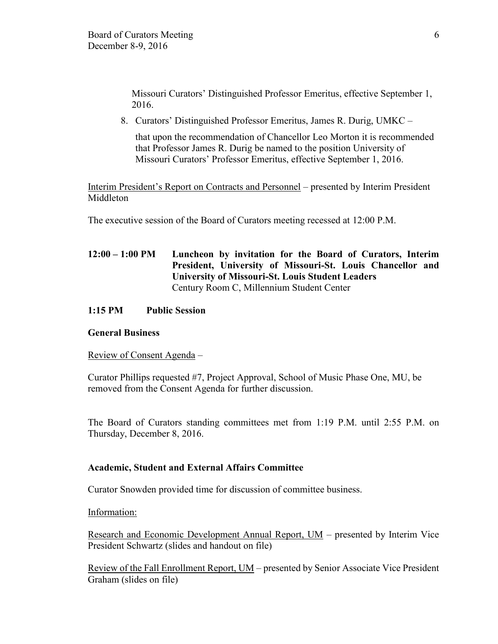Missouri Curators' Distinguished Professor Emeritus, effective September 1, 2016.

8. Curators' Distinguished Professor Emeritus, James R. Durig, UMKC –

that upon the recommendation of Chancellor Leo Morton it is recommended that Professor James R. Durig be named to the position University of Missouri Curators' Professor Emeritus, effective September 1, 2016.

Interim President's Report on Contracts and Personnel – presented by Interim President Middleton

The executive session of the Board of Curators meeting recessed at 12:00 P.M.

**12:00 – 1:00 PM Luncheon by invitation for the Board of Curators, Interim President, University of Missouri-St. Louis Chancellor and University of Missouri-St. Louis Student Leaders** Century Room C, Millennium Student Center

# **1:15 PM Public Session**

#### **General Business**

Review of Consent Agenda –

Curator Phillips requested #7, Project Approval, School of Music Phase One, MU, be removed from the Consent Agenda for further discussion.

The Board of Curators standing committees met from 1:19 P.M. until 2:55 P.M. on Thursday, December 8, 2016.

# **Academic, Student and External Affairs Committee**

Curator Snowden provided time for discussion of committee business.

Information:

Research and Economic Development Annual Report, UM – presented by Interim Vice President Schwartz (slides and handout on file)

Review of the Fall Enrollment Report, UM – presented by Senior Associate Vice President Graham (slides on file)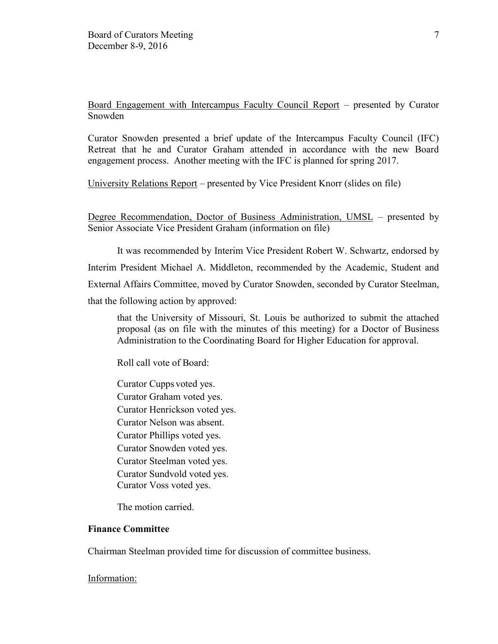Board Engagement with Intercampus Faculty Council Report – presented by Curator Snowden

Curator Snowden presented a brief update of the Intercampus Faculty Council (IFC) Retreat that he and Curator Graham attended in accordance with the new Board engagement process. Another meeting with the IFC is planned for spring 2017.

University Relations Report – presented by Vice President Knorr (slides on file)

Degree Recommendation, Doctor of Business Administration, UMSL – presented by Senior Associate Vice President Graham (information on file)

It was recommended by Interim Vice President Robert W. Schwartz, endorsed by Interim President Michael A. Middleton, recommended by the Academic, Student and External Affairs Committee, moved by Curator Snowden, seconded by Curator Steelman, that the following action by approved:

that the University of Missouri, St. Louis be authorized to submit the attached proposal (as on file with the minutes of this meeting) for a Doctor of Business Administration to the Coordinating Board for Higher Education for approval.

Roll call vote of Board:

Curator Cupps voted yes. Curator Graham voted yes. Curator Henrickson voted yes. Curator Nelson was absent. Curator Phillips voted yes. Curator Snowden voted yes. Curator Steelman voted yes. Curator Sundvold voted yes. Curator Voss voted yes.

The motion carried.

# **Finance Committee**

Chairman Steelman provided time for discussion of committee business.

Information: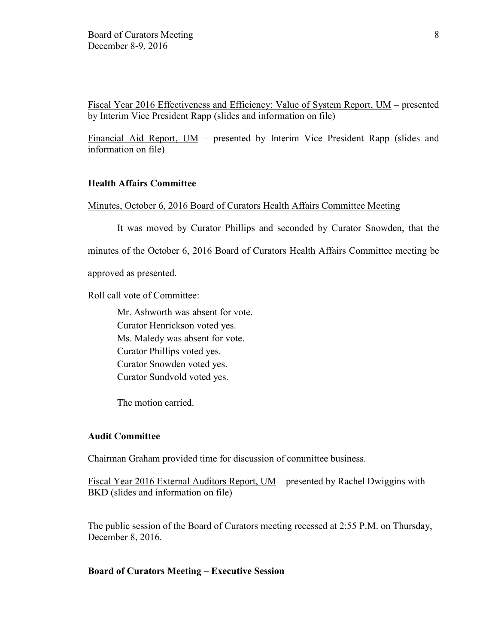Fiscal Year 2016 Effectiveness and Efficiency: Value of System Report, UM – presented by Interim Vice President Rapp (slides and information on file)

Financial Aid Report,  $UM$  – presented by Interim Vice President Rapp (slides and information on file)

# **Health Affairs Committee**

#### Minutes, October 6, 2016 Board of Curators Health Affairs Committee Meeting

It was moved by Curator Phillips and seconded by Curator Snowden, that the

minutes of the October 6, 2016 Board of Curators Health Affairs Committee meeting be

approved as presented.

Roll call vote of Committee:

Mr. Ashworth was absent for vote. Curator Henrickson voted yes. Ms. Maledy was absent for vote. Curator Phillips voted yes. Curator Snowden voted yes. Curator Sundvold voted yes.

The motion carried.

#### **Audit Committee**

Chairman Graham provided time for discussion of committee business.

Fiscal Year 2016 External Auditors Report, UM – presented by Rachel Dwiggins with BKD (slides and information on file)

The public session of the Board of Curators meeting recessed at 2:55 P.M. on Thursday, December 8, 2016.

#### **Board of Curators Meeting – Executive Session**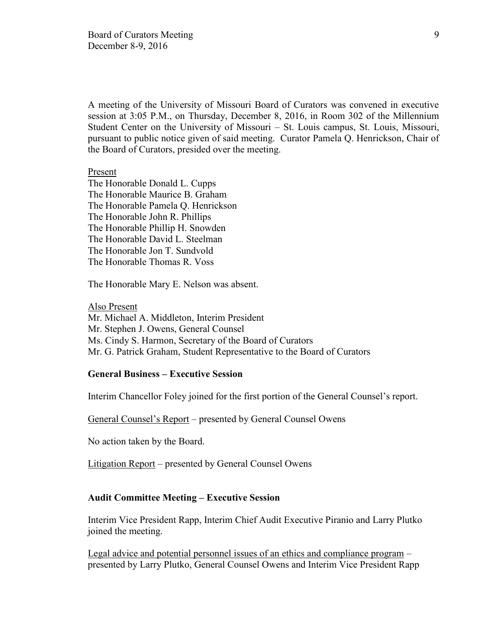A meeting of the University of Missouri Board of Curators was convened in executive session at 3:05 P.M., on Thursday, December 8, 2016, in Room 302 of the Millennium Student Center on the University of Missouri – St. Louis campus, St. Louis, Missouri, pursuant to public notice given of said meeting. Curator Pamela Q. Henrickson, Chair of the Board of Curators, presided over the meeting.

#### Present

The Honorable Donald L. Cupps The Honorable Maurice B. Graham The Honorable Pamela Q. Henrickson The Honorable John R. Phillips The Honorable Phillip H. Snowden The Honorable David L. Steelman The Honorable Jon T. Sundvold The Honorable Thomas R. Voss

The Honorable Mary E. Nelson was absent.

#### Also Present

Mr. Michael A. Middleton, Interim President Mr. Stephen J. Owens, General Counsel Ms. Cindy S. Harmon, Secretary of the Board of Curators Mr. G. Patrick Graham, Student Representative to the Board of Curators

#### **General Business – Executive Session**

Interim Chancellor Foley joined for the first portion of the General Counsel's report.

General Counsel's Report – presented by General Counsel Owens

No action taken by the Board.

Litigation Report – presented by General Counsel Owens

## **Audit Committee Meeting – Executive Session**

Interim Vice President Rapp, Interim Chief Audit Executive Piranio and Larry Plutko joined the meeting.

Legal advice and potential personnel issues of an ethics and compliance program – presented by Larry Plutko, General Counsel Owens and Interim Vice President Rapp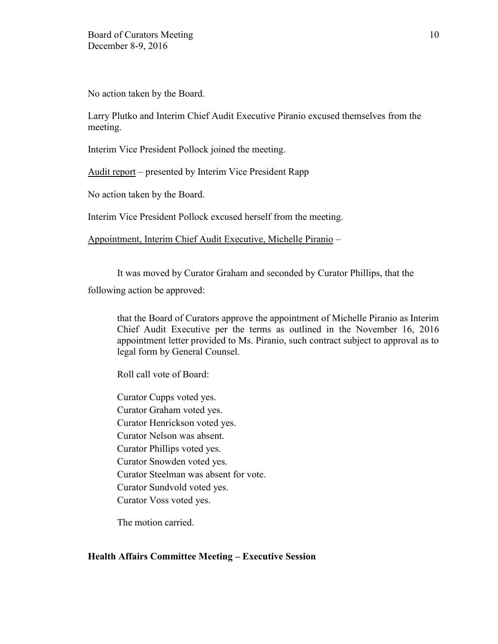No action taken by the Board.

Larry Plutko and Interim Chief Audit Executive Piranio excused themselves from the meeting.

Interim Vice President Pollock joined the meeting.

Audit report – presented by Interim Vice President Rapp

No action taken by the Board.

Interim Vice President Pollock excused herself from the meeting.

Appointment, Interim Chief Audit Executive, Michelle Piranio –

It was moved by Curator Graham and seconded by Curator Phillips, that the

following action be approved:

that the Board of Curators approve the appointment of Michelle Piranio as Interim Chief Audit Executive per the terms as outlined in the November 16, 2016 appointment letter provided to Ms. Piranio, such contract subject to approval as to legal form by General Counsel.

Roll call vote of Board:

Curator Cupps voted yes. Curator Graham voted yes. Curator Henrickson voted yes. Curator Nelson was absent. Curator Phillips voted yes. Curator Snowden voted yes. Curator Steelman was absent for vote. Curator Sundvold voted yes. Curator Voss voted yes.

The motion carried.

# **Health Affairs Committee Meeting – Executive Session**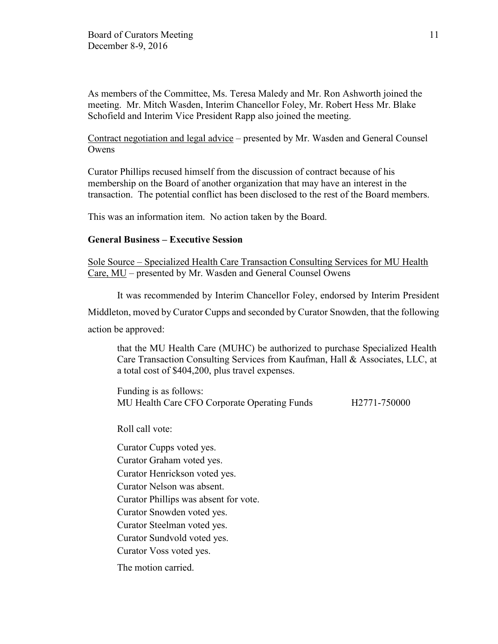As members of the Committee, Ms. Teresa Maledy and Mr. Ron Ashworth joined the meeting. Mr. Mitch Wasden, Interim Chancellor Foley, Mr. Robert Hess Mr. Blake Schofield and Interim Vice President Rapp also joined the meeting.

## Contract negotiation and legal advice – presented by Mr. Wasden and General Counsel **Owens**

Curator Phillips recused himself from the discussion of contract because of his membership on the Board of another organization that may have an interest in the transaction. The potential conflict has been disclosed to the rest of the Board members.

This was an information item. No action taken by the Board.

# **General Business – Executive Session**

Sole Source – Specialized Health Care Transaction Consulting Services for MU Health Care, MU – presented by Mr. Wasden and General Counsel Owens

It was recommended by Interim Chancellor Foley, endorsed by Interim President Middleton, moved by Curator Cupps and seconded by Curator Snowden, that the following action be approved:

that the MU Health Care (MUHC) be authorized to purchase Specialized Health Care Transaction Consulting Services from Kaufman, Hall & Associates, LLC, at a total cost of \$404,200, plus travel expenses.

Funding is as follows: MU Health Care CFO Corporate Operating Funds H2771-750000

Roll call vote:

Curator Cupps voted yes.

Curator Graham voted yes.

Curator Henrickson voted yes.

Curator Nelson was absent.

Curator Phillips was absent for vote.

Curator Snowden voted yes.

Curator Steelman voted yes.

Curator Sundvold voted yes.

Curator Voss voted yes.

The motion carried.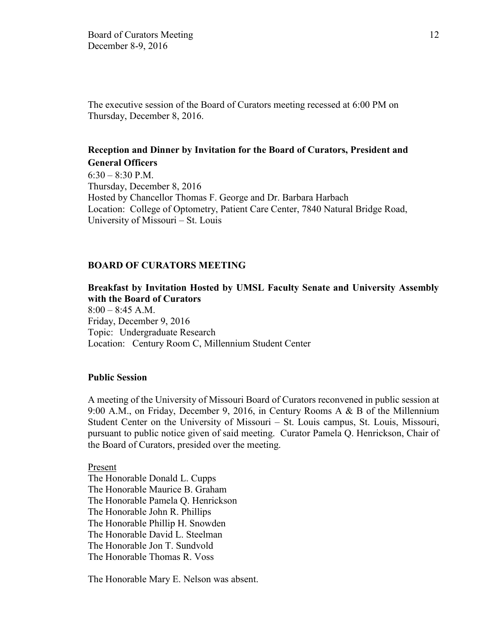The executive session of the Board of Curators meeting recessed at 6:00 PM on Thursday, December 8, 2016.

# **Reception and Dinner by Invitation for the Board of Curators, President and General Officers**

 $6:30 - 8:30$  P.M. Thursday, December 8, 2016 Hosted by Chancellor Thomas F. George and Dr. Barbara Harbach Location: College of Optometry, Patient Care Center, 7840 Natural Bridge Road, University of Missouri – St. Louis

### **BOARD OF CURATORS MEETING**

### **Breakfast by Invitation Hosted by UMSL Faculty Senate and University Assembly with the Board of Curators**

8:00 – 8:45 A.M. Friday, December 9, 2016 Topic: Undergraduate Research Location: Century Room C, Millennium Student Center

#### **Public Session**

A meeting of the University of Missouri Board of Curators reconvened in public session at 9:00 A.M., on Friday, December 9, 2016, in Century Rooms A & B of the Millennium Student Center on the University of Missouri – St. Louis campus, St. Louis, Missouri, pursuant to public notice given of said meeting. Curator Pamela Q. Henrickson, Chair of the Board of Curators, presided over the meeting.

Present

The Honorable Donald L. Cupps The Honorable Maurice B. Graham The Honorable Pamela Q. Henrickson The Honorable John R. Phillips The Honorable Phillip H. Snowden The Honorable David L. Steelman The Honorable Jon T. Sundvold The Honorable Thomas R. Voss

The Honorable Mary E. Nelson was absent.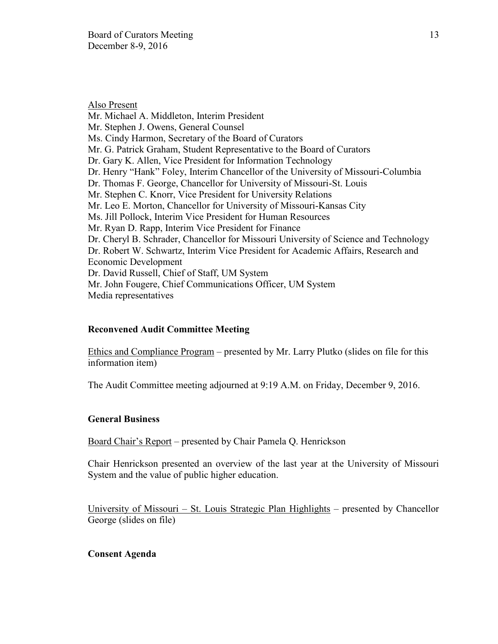Also Present Mr. Michael A. Middleton, Interim President Mr. Stephen J. Owens, General Counsel Ms. Cindy Harmon, Secretary of the Board of Curators Mr. G. Patrick Graham, Student Representative to the Board of Curators Dr. Gary K. Allen, Vice President for Information Technology Dr. Henry "Hank" Foley, Interim Chancellor of the University of Missouri-Columbia Dr. Thomas F. George, Chancellor for University of Missouri-St. Louis Mr. Stephen C. Knorr, Vice President for University Relations Mr. Leo E. Morton, Chancellor for University of Missouri-Kansas City Ms. Jill Pollock, Interim Vice President for Human Resources Mr. Ryan D. Rapp, Interim Vice President for Finance Dr. Cheryl B. Schrader, Chancellor for Missouri University of Science and Technology Dr. Robert W. Schwartz, Interim Vice President for Academic Affairs, Research and Economic Development Dr. David Russell, Chief of Staff, UM System Mr. John Fougere, Chief Communications Officer, UM System Media representatives

# **Reconvened Audit Committee Meeting**

Ethics and Compliance Program – presented by Mr. Larry Plutko (slides on file for this information item)

The Audit Committee meeting adjourned at 9:19 A.M. on Friday, December 9, 2016.

# **General Business**

Board Chair's Report – presented by Chair Pamela Q. Henrickson

Chair Henrickson presented an overview of the last year at the University of Missouri System and the value of public higher education.

University of Missouri – St. Louis Strategic Plan Highlights – presented by Chancellor George (slides on file)

#### **Consent Agenda**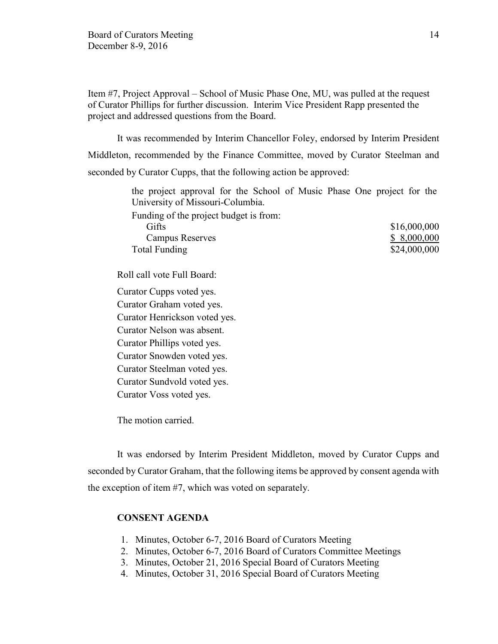Item #7, Project Approval – School of Music Phase One, MU, was pulled at the request of Curator Phillips for further discussion. Interim Vice President Rapp presented the project and addressed questions from the Board.

It was recommended by Interim Chancellor Foley, endorsed by Interim President Middleton, recommended by the Finance Committee, moved by Curator Steelman and seconded by Curator Cupps, that the following action be approved:

> the project approval for the School of Music Phase One project for the University of Missouri-Columbia.

Funding of the project budget is from:

| Gifts                  | \$16,000,000 |
|------------------------|--------------|
| <b>Campus Reserves</b> | \$8,000,000  |
| Total Funding          | \$24,000,000 |

Roll call vote Full Board:

Curator Cupps voted yes. Curator Graham voted yes. Curator Henrickson voted yes. Curator Nelson was absent. Curator Phillips voted yes. Curator Snowden voted yes. Curator Steelman voted yes. Curator Sundvold voted yes. Curator Voss voted yes.

The motion carried.

It was endorsed by Interim President Middleton, moved by Curator Cupps and seconded by Curator Graham, that the following items be approved by consent agenda with the exception of item #7, which was voted on separately.

# **CONSENT AGENDA**

- 1. Minutes, October 6-7, 2016 Board of Curators Meeting
- 2. Minutes, October 6-7, 2016 Board of Curators Committee Meetings
- 3. Minutes, October 21, 2016 Special Board of Curators Meeting
- 4. Minutes, October 31, 2016 Special Board of Curators Meeting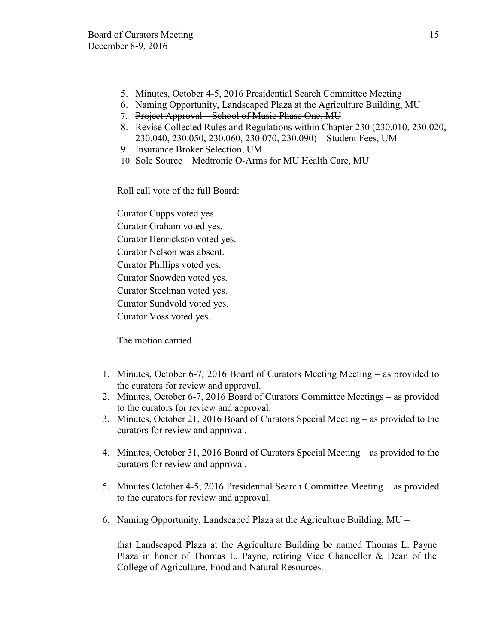- 5. Minutes, October 4-5, 2016 Presidential Search Committee Meeting
- 6. Naming Opportunity, Landscaped Plaza at the Agriculture Building, MU
- 7. Project Approval School of Music Phase One, MU
- 8. Revise Collected Rules and Regulations within Chapter 230 (230.010, 230.020, 230.040, 230.050, 230.060, 230.070, 230.090) – Student Fees, UM
- 9. Insurance Broker Selection, UM
- 10. Sole Source Medtronic O-Arms for MU Health Care, MU

Roll call vote of the full Board:

Curator Cupps voted yes. Curator Graham voted yes. Curator Henrickson voted yes. Curator Nelson was absent. Curator Phillips voted yes. Curator Snowden voted yes. Curator Steelman voted yes. Curator Sundvold voted yes. Curator Voss voted yes.

The motion carried.

- 1. Minutes, October 6-7, 2016 Board of Curators Meeting Meeting as provided to the curators for review and approval.
- 2. Minutes, October 6-7, 2016 Board of Curators Committee Meetings as provided to the curators for review and approval.
- 3. Minutes, October 21, 2016 Board of Curators Special Meeting as provided to the curators for review and approval.
- 4. Minutes, October 31, 2016 Board of Curators Special Meeting as provided to the curators for review and approval.
- 5. Minutes October 4-5, 2016 Presidential Search Committee Meeting as provided to the curators for review and approval.
- 6. Naming Opportunity, Landscaped Plaza at the Agriculture Building, MU –

that Landscaped Plaza at the Agriculture Building be named Thomas L. Payne Plaza in honor of Thomas L. Payne, retiring Vice Chancellor & Dean of the College of Agriculture, Food and Natural Resources.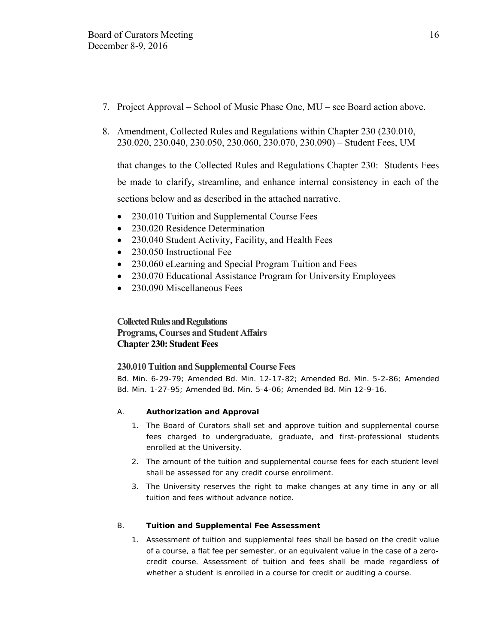- 7. Project Approval School of Music Phase One, MU see Board action above.
- 8. Amendment, Collected Rules and Regulations within Chapter 230 (230.010, 230.020, 230.040, 230.050, 230.060, 230.070, 230.090) – Student Fees, UM

that changes to the Collected Rules and Regulations Chapter 230: Students Fees be made to clarify, streamline, and enhance internal consistency in each of the sections below and as described in the attached narrative.

- 230.010 Tuition and Supplemental Course Fees
- 230.020 Residence Determination
- 230.040 Student Activity, Facility, and Health Fees
- 230.050 Instructional Fee
- 230.060 eLearning and Special Program Tuition and Fees
- 230.070 Educational Assistance Program for University Employees
- 230.090 Miscellaneous Fees

# **Collected Rules and Regulations Programs, Courses and Student Affairs Chapter 230: Student Fees**

# **230.010 Tuition and Supplemental Course Fees**

Bd. Min. 6-29-79; Amended Bd. Min. 12-17-82; Amended Bd. Min. 5-2-86; Amended Bd. Min. 1-27-95; Amended Bd. Min. 5-4-06; Amended Bd. Min 12-9-16.

- A. **Authorization and Approval** 
	- 1. The Board of Curators shall set and approve tuition and supplemental course fees charged to undergraduate, graduate, and first-professional students enrolled at the University.
	- 2. The amount of the tuition and supplemental course fees for each student level shall be assessed for any credit course enrollment.
	- 3. The University reserves the right to make changes at any time in any or all tuition and fees without advance notice.
- B. **Tuition and Supplemental Fee Assessment** 
	- 1. Assessment of tuition and supplemental fees shall be based on the credit value of a course, a flat fee per semester, or an equivalent value in the case of a zerocredit course. Assessment of tuition and fees shall be made regardless of whether a student is enrolled in a course for credit or auditing a course.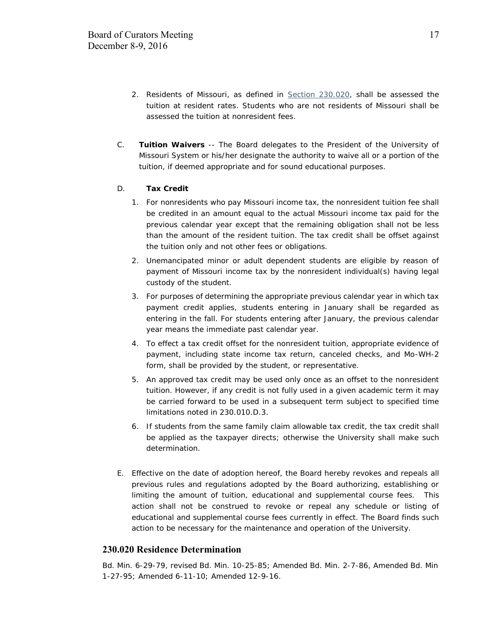- 2. Residents of Missouri, as defined in Section 230.020, shall be assessed the tuition at resident rates. Students who are not residents of Missouri shall be assessed the tuition at nonresident fees.
- C. **Tuition Waivers** -- The Board delegates to the President of the University of Missouri System or his/her designate the authority to waive all or a portion of the tuition, if deemed appropriate and for sound educational purposes.
- D. **Tax Credit** 
	- 1. For nonresidents who pay Missouri income tax, the nonresident tuition fee shall be credited in an amount equal to the actual Missouri income tax paid for the previous calendar year except that the remaining obligation shall not be less than the amount of the resident tuition. The tax credit shall be offset against the tuition only and not other fees or obligations.
	- 2. Unemancipated minor or adult dependent students are eligible by reason of payment of Missouri income tax by the nonresident individual(s) having legal custody of the student.
	- 3. For purposes of determining the appropriate previous calendar year in which tax payment credit applies, students entering in January shall be regarded as entering in the fall. For students entering after January, the previous calendar year means the immediate past calendar year.
	- 4. To effect a tax credit offset for the nonresident tuition, appropriate evidence of payment, including state income tax return, canceled checks, and Mo-WH-2 form, shall be provided by the student, or representative.
	- 5. An approved tax credit may be used only once as an offset to the nonresident tuition. However, if any credit is not fully used in a given academic term it may be carried forward to be used in a subsequent term subject to specified time limitations noted in 230.010.D.3.
	- 6. If students from the same family claim allowable tax credit, the tax credit shall be applied as the taxpayer directs; otherwise the University shall make such determination.
- E. Effective on the date of adoption hereof, the Board hereby revokes and repeals all previous rules and regulations adopted by the Board authorizing, establishing or limiting the amount of tuition, educational and supplemental course fees. This action shall not be construed to revoke or repeal any schedule or listing of educational and supplemental course fees currently in effect. The Board finds such action to be necessary for the maintenance and operation of the University.

#### **230.020 Residence Determination**

Bd. Min. 6-29-79, revised Bd. Min. 10-25-85; Amended Bd. Min. 2-7-86, Amended Bd. Min 1-27-95; Amended 6-11-10; Amended 12-9-16.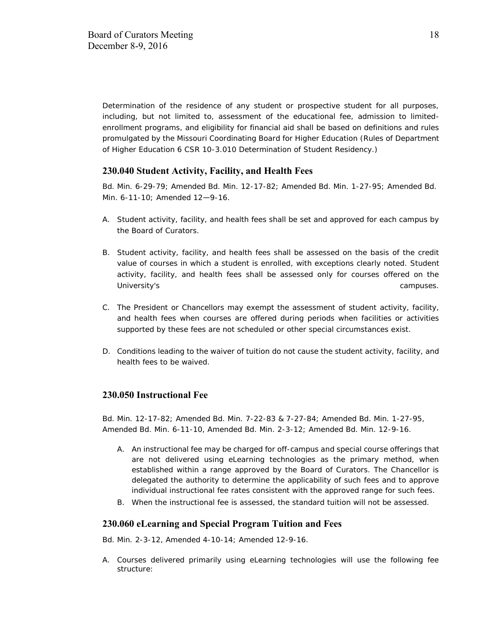Determination of the residence of any student or prospective student for all purposes, including, but not limited to, assessment of the educational fee, admission to limitedenrollment programs, and eligibility for financial aid shall be based on definitions and rules promulgated by the Missouri Coordinating Board for Higher Education (Rules of Department of Higher Education 6 CSR 10-3.010 Determination of Student Residency.)

# **230.040 Student Activity, Facility, and Health Fees**

Bd. Min. 6-29-79; Amended Bd. Min. 12-17-82; Amended Bd. Min. 1-27-95; Amended Bd. Min. 6-11-10; Amended 12—9-16.

- A. Student activity, facility, and health fees shall be set and approved for each campus by the Board of Curators.
- B. Student activity, facility, and health fees shall be assessed on the basis of the credit value of courses in which a student is enrolled, with exceptions clearly noted. Student activity, facility, and health fees shall be assessed only for courses offered on the University's campuses.
- C. The President or Chancellors may exempt the assessment of student activity, facility, and health fees when courses are offered during periods when facilities or activities supported by these fees are not scheduled or other special circumstances exist.
- D. Conditions leading to the waiver of tuition do not cause the student activity, facility, and health fees to be waived.

## **230.050 Instructional Fee**

Bd. Min. 12-17-82; Amended Bd. Min. 7-22-83 & 7-27-84; Amended Bd. Min. 1-27-95, Amended Bd. Min. 6-11-10, Amended Bd. Min. 2-3-12; Amended Bd. Min. 12-9-16.

- A. An instructional fee may be charged for off-campus and special course offerings that are not delivered using eLearning technologies as the primary method, when established within a range approved by the Board of Curators. The Chancellor is delegated the authority to determine the applicability of such fees and to approve individual instructional fee rates consistent with the approved range for such fees.
- B. When the instructional fee is assessed, the standard tuition will not be assessed.

#### **230.060 eLearning and Special Program Tuition and Fees**

Bd. Min. 2-3-12, Amended 4-10-14; Amended 12-9-16.

A. Courses delivered primarily using eLearning technologies will use the following fee structure: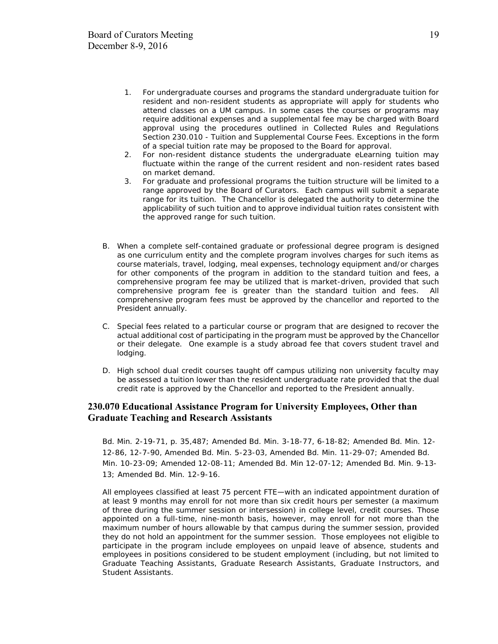- 1. For undergraduate courses and programs the standard undergraduate tuition for resident and non-resident students as appropriate will apply for students who attend classes on a UM campus. In some cases the courses or programs may require additional expenses and a supplemental fee may be charged with Board approval using the procedures outlined in Collected Rules and Regulations Section 230.010 - Tuition and Supplemental Course Fees. Exceptions in the form of a special tuition rate may be proposed to the Board for approval.
- 2. For non-resident distance students the undergraduate eLearning tuition may fluctuate within the range of the current resident and non-resident rates based on market demand.
- 3. For graduate and professional programs the tuition structure will be limited to a range approved by the Board of Curators. Each campus will submit a separate range for its tuition. The Chancellor is delegated the authority to determine the applicability of such tuition and to approve individual tuition rates consistent with the approved range for such tuition.
- B. When a complete self-contained graduate or professional degree program is designed as one curriculum entity and the complete program involves charges for such items as course materials, travel, lodging, meal expenses, technology equipment and/or charges for other components of the program in addition to the standard tuition and fees, a comprehensive program fee may be utilized that is market-driven, provided that such comprehensive program fee is greater than the standard tuition and fees. All comprehensive program fees must be approved by the chancellor and reported to the President annually.
- C. Special fees related to a particular course or program that are designed to recover the actual additional cost of participating in the program must be approved by the Chancellor or their delegate. One example is a study abroad fee that covers student travel and lodging.
- D. High school dual credit courses taught off campus utilizing non university faculty may be assessed a tuition lower than the resident undergraduate rate provided that the dual credit rate is approved by the Chancellor and reported to the President annually.

### **230.070 Educational Assistance Program for University Employees, Other than Graduate Teaching and Research Assistants**

Bd. Min. 2-19-71, p. 35,487; Amended Bd. Min. 3-18-77, 6-18-82; Amended Bd. Min. 12- 12-86, 12-7-90, Amended Bd. Min. 5-23-03, Amended Bd. Min. 11-29-07; Amended Bd. Min. 10-23-09; Amended 12-08-11; Amended Bd. Min 12-07-12; Amended Bd. Min. 9-13- 13; Amended Bd. Min. 12-9-16.

All employees classified at least 75 percent FTE—with an indicated appointment duration of at least 9 months may enroll for not more than six credit hours per semester (a maximum of three during the summer session or intersession) in college level, credit courses. Those appointed on a full-time, nine-month basis, however, may enroll for not more than the maximum number of hours allowable by that campus during the summer session, provided they do not hold an appointment for the summer session. Those employees not eligible to participate in the program include employees on unpaid leave of absence, students and employees in positions considered to be student employment (including, but not limited to Graduate Teaching Assistants, Graduate Research Assistants, Graduate Instructors, and Student Assistants.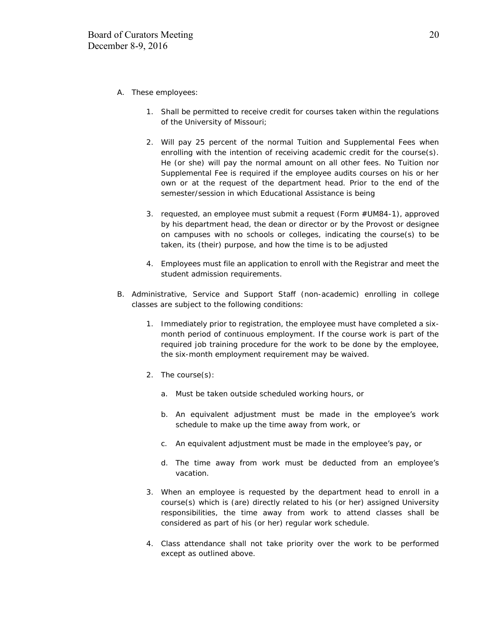- A. These employees:
	- 1. Shall be permitted to receive credit for courses taken within the regulations of the University of Missouri;
	- 2. Will pay 25 percent of the normal Tuition and Supplemental Fees when enrolling with the intention of receiving academic credit for the course(s). He (or she) will pay the normal amount on all other fees. No Tuition nor Supplemental Fee is required if the employee audits courses on his or her own or at the request of the department head. Prior to the end of the semester/session in which Educational Assistance is being
	- 3. requested, an employee must submit a request (Form #UM84-1), approved by his department head, the dean or director or by the Provost or designee on campuses with no schools or colleges, indicating the course(s) to be taken, its (their) purpose, and how the time is to be adjusted
	- 4. Employees must file an application to enroll with the Registrar and meet the student admission requirements.
- B. Administrative, Service and Support Staff (non-academic) enrolling in college classes are subject to the following conditions:
	- 1. Immediately prior to registration, the employee must have completed a sixmonth period of continuous employment. If the course work is part of the required job training procedure for the work to be done by the employee, the six-month employment requirement may be waived.
	- 2. The course(s):
		- a. Must be taken outside scheduled working hours, or
		- b. An equivalent adjustment must be made in the employee's work schedule to make up the time away from work, or
		- c. An equivalent adjustment must be made in the employee's pay, or
		- d. The time away from work must be deducted from an employee's vacation.
	- 3. When an employee is requested by the department head to enroll in a course(s) which is (are) directly related to his (or her) assigned University responsibilities, the time away from work to attend classes shall be considered as part of his (or her) regular work schedule.
	- 4. Class attendance shall not take priority over the work to be performed except as outlined above.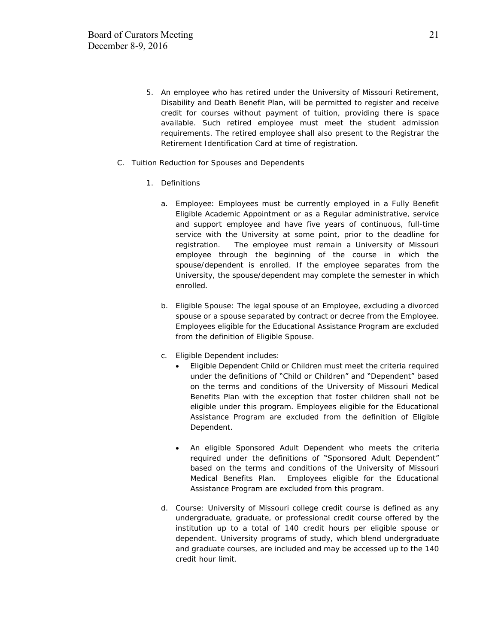- 5. An employee who has retired under the University of Missouri Retirement, Disability and Death Benefit Plan, will be permitted to register and receive credit for courses without payment of tuition, providing there is space available. Such retired employee must meet the student admission requirements. The retired employee shall also present to the Registrar the Retirement Identification Card at time of registration.
- C. Tuition Reduction for Spouses and Dependents
	- 1. Definitions
		- a. Employee: Employees must be currently employed in a Fully Benefit Eligible Academic Appointment or as a Regular administrative, service and support employee and have five years of continuous, full-time service with the University at some point, prior to the deadline for registration. The employee must remain a University of Missouri employee through the beginning of the course in which the spouse/dependent is enrolled. If the employee separates from the University, the spouse/dependent may complete the semester in which enrolled.
		- b. Eligible Spouse: The legal spouse of an Employee, excluding a divorced spouse or a spouse separated by contract or decree from the Employee. Employees eligible for the Educational Assistance Program are excluded from the definition of Eligible Spouse.
		- c. Eligible Dependent includes:
			- Eligible Dependent Child or Children must meet the criteria required under the definitions of "Child or Children" and "Dependent" based on the terms and conditions of the University of Missouri Medical Benefits Plan with the exception that foster children shall not be eligible under this program. Employees eligible for the Educational Assistance Program are excluded from the definition of Eligible Dependent.
			- An eligible Sponsored Adult Dependent who meets the criteria required under the definitions of "Sponsored Adult Dependent" based on the terms and conditions of the University of Missouri Medical Benefits Plan. Employees eligible for the Educational Assistance Program are excluded from this program.
		- d. Course: University of Missouri college credit course is defined as any undergraduate, graduate, or professional credit course offered by the institution up to a total of 140 credit hours per eligible spouse or dependent. University programs of study, which blend undergraduate and graduate courses, are included and may be accessed up to the 140 credit hour limit.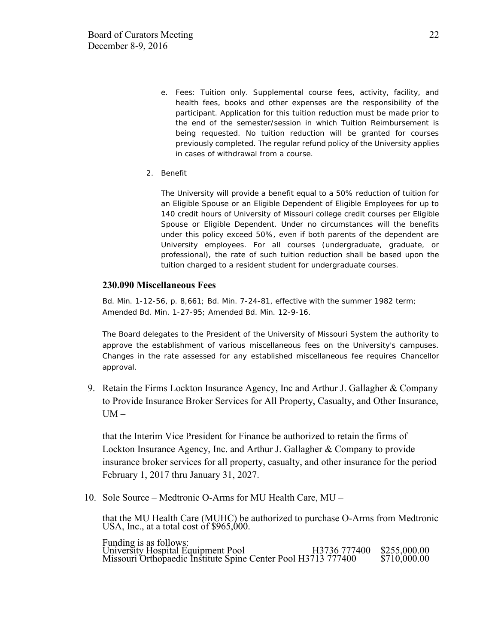- e. Fees: Tuition only. Supplemental course fees, activity, facility, and health fees, books and other expenses are the responsibility of the participant. Application for this tuition reduction must be made prior to the end of the semester/session in which Tuition Reimbursement is being requested. No tuition reduction will be granted for courses previously completed. The regular refund policy of the University applies in cases of withdrawal from a course.
- 2. Benefit

The University will provide a benefit equal to a 50% reduction of tuition for an Eligible Spouse or an Eligible Dependent of Eligible Employees for up to 140 credit hours of University of Missouri college credit courses per Eligible Spouse or Eligible Dependent. Under no circumstances will the benefits under this policy exceed 50%, even if both parents of the dependent are University employees. For all courses (undergraduate, graduate, or professional), the rate of such tuition reduction shall be based upon the tuition charged to a resident student for undergraduate courses.

#### **230.090 Miscellaneous Fees**

Bd. Min. 1-12-56, p. 8,661; Bd. Min. 7-24-81, effective with the summer 1982 term; Amended Bd. Min. 1-27-95; Amended Bd. Min. 12-9-16.

The Board delegates to the President of the University of Missouri System the authority to approve the establishment of various miscellaneous fees on the University's campuses. Changes in the rate assessed for any established miscellaneous fee requires Chancellor approval.

9. Retain the Firms Lockton Insurance Agency, Inc and Arthur J. Gallagher & Company to Provide Insurance Broker Services for All Property, Casualty, and Other Insurance,  $UM -$ 

that the Interim Vice President for Finance be authorized to retain the firms of Lockton Insurance Agency, Inc. and Arthur J. Gallagher & Company to provide insurance broker services for all property, casualty, and other insurance for the period February 1, 2017 thru January 31, 2027.

10. Sole Source – Medtronic O-Arms for MU Health Care, MU –

that the MU Health Care (MUHC) be authorized to purchase O-Arms from Medtronic USA, Inc., at a total cost of  $$965,000$ .

Funding is as follows: University Hospital Equipment Pool H3736 777400 \$255,000.00 Missouri Orthopaedic Institute Spine Center Pool H3713 777400 \$710,000.00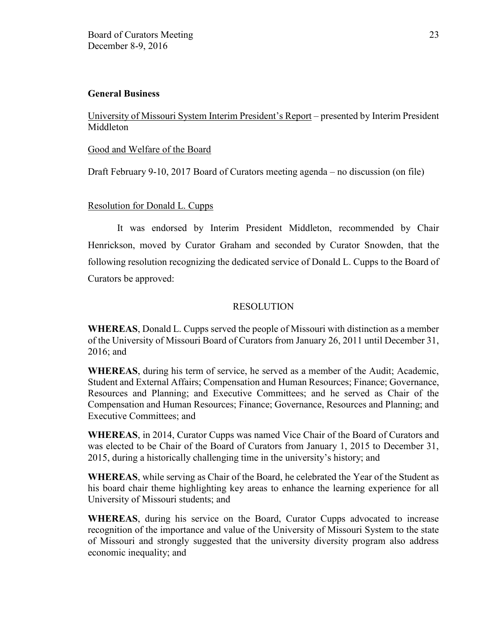### **General Business**

University of Missouri System Interim President's Report – presented by Interim President Middleton

#### Good and Welfare of the Board

Draft February 9-10, 2017 Board of Curators meeting agenda – no discussion (on file)

# Resolution for Donald L. Cupps

It was endorsed by Interim President Middleton, recommended by Chair Henrickson, moved by Curator Graham and seconded by Curator Snowden, that the following resolution recognizing the dedicated service of Donald L. Cupps to the Board of Curators be approved:

# RESOLUTION

**WHEREAS**, Donald L. Cupps served the people of Missouri with distinction as a member of the University of Missouri Board of Curators from January 26, 2011 until December 31, 2016; and

**WHEREAS**, during his term of service, he served as a member of the Audit; Academic, Student and External Affairs; Compensation and Human Resources; Finance; Governance, Resources and Planning; and Executive Committees; and he served as Chair of the Compensation and Human Resources; Finance; Governance, Resources and Planning; and Executive Committees; and

**WHEREAS**, in 2014, Curator Cupps was named Vice Chair of the Board of Curators and was elected to be Chair of the Board of Curators from January 1, 2015 to December 31, 2015, during a historically challenging time in the university's history; and

**WHEREAS**, while serving as Chair of the Board, he celebrated the Year of the Student as his board chair theme highlighting key areas to enhance the learning experience for all University of Missouri students; and

**WHEREAS**, during his service on the Board, Curator Cupps advocated to increase recognition of the importance and value of the University of Missouri System to the state of Missouri and strongly suggested that the university diversity program also address economic inequality; and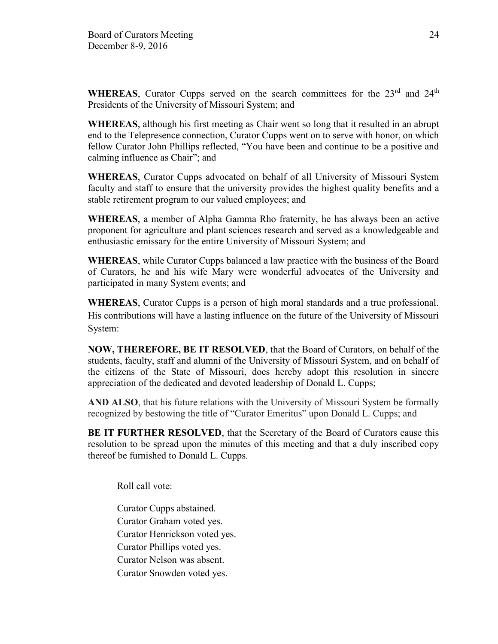**WHEREAS**, Curator Cupps served on the search committees for the  $23<sup>rd</sup>$  and  $24<sup>th</sup>$ Presidents of the University of Missouri System; and

**WHEREAS**, although his first meeting as Chair went so long that it resulted in an abrupt end to the Telepresence connection, Curator Cupps went on to serve with honor, on which fellow Curator John Phillips reflected, "You have been and continue to be a positive and calming influence as Chair"; and

**WHEREAS**, Curator Cupps advocated on behalf of all University of Missouri System faculty and staff to ensure that the university provides the highest quality benefits and a stable retirement program to our valued employees; and

**WHEREAS**, a member of Alpha Gamma Rho fraternity, he has always been an active proponent for agriculture and plant sciences research and served as a knowledgeable and enthusiastic emissary for the entire University of Missouri System; and

**WHEREAS**, while Curator Cupps balanced a law practice with the business of the Board of Curators, he and his wife Mary were wonderful advocates of the University and participated in many System events; and

**WHEREAS**, Curator Cupps is a person of high moral standards and a true professional. His contributions will have a lasting influence on the future of the University of Missouri System:

**NOW, THEREFORE, BE IT RESOLVED**, that the Board of Curators, on behalf of the students, faculty, staff and alumni of the University of Missouri System, and on behalf of the citizens of the State of Missouri, does hereby adopt this resolution in sincere appreciation of the dedicated and devoted leadership of Donald L. Cupps;

**AND ALSO**, that his future relations with the University of Missouri System be formally recognized by bestowing the title of "Curator Emeritus" upon Donald L. Cupps; and

**BE IT FURTHER RESOLVED**, that the Secretary of the Board of Curators cause this resolution to be spread upon the minutes of this meeting and that a duly inscribed copy thereof be furnished to Donald L. Cupps.

Roll call vote:

Curator Cupps abstained. Curator Graham voted yes. Curator Henrickson voted yes. Curator Phillips voted yes. Curator Nelson was absent. Curator Snowden voted yes.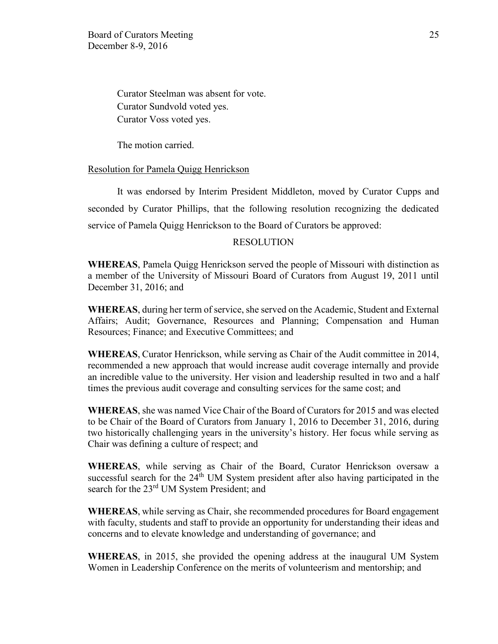Curator Steelman was absent for vote. Curator Sundvold voted yes. Curator Voss voted yes.

The motion carried.

### Resolution for Pamela Quigg Henrickson

It was endorsed by Interim President Middleton, moved by Curator Cupps and seconded by Curator Phillips, that the following resolution recognizing the dedicated service of Pamela Quigg Henrickson to the Board of Curators be approved:

### RESOLUTION

**WHEREAS**, Pamela Quigg Henrickson served the people of Missouri with distinction as a member of the University of Missouri Board of Curators from August 19, 2011 until December 31, 2016; and

**WHEREAS**, during her term of service, she served on the Academic, Student and External Affairs; Audit; Governance, Resources and Planning; Compensation and Human Resources; Finance; and Executive Committees; and

**WHEREAS**, Curator Henrickson, while serving as Chair of the Audit committee in 2014, recommended a new approach that would increase audit coverage internally and provide an incredible value to the university. Her vision and leadership resulted in two and a half times the previous audit coverage and consulting services for the same cost; and

**WHEREAS**, she was named Vice Chair of the Board of Curators for 2015 and was elected to be Chair of the Board of Curators from January 1, 2016 to December 31, 2016, during two historically challenging years in the university's history. Her focus while serving as Chair was defining a culture of respect; and

**WHEREAS**, while serving as Chair of the Board, Curator Henrickson oversaw a successful search for the  $24<sup>th</sup>$  UM System president after also having participated in the search for the 23<sup>rd</sup> UM System President; and

**WHEREAS**, while serving as Chair, she recommended procedures for Board engagement with faculty, students and staff to provide an opportunity for understanding their ideas and concerns and to elevate knowledge and understanding of governance; and

**WHEREAS**, in 2015, she provided the opening address at the inaugural UM System Women in Leadership Conference on the merits of volunteerism and mentorship; and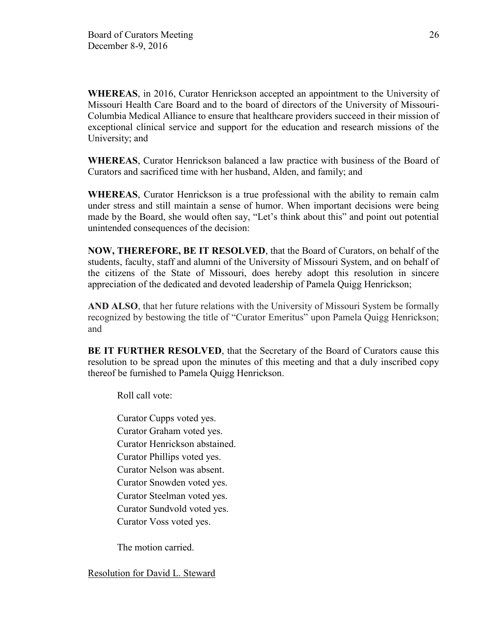**WHEREAS**, in 2016, Curator Henrickson accepted an appointment to the University of Missouri Health Care Board and to the board of directors of the University of Missouri-Columbia Medical Alliance to ensure that healthcare providers succeed in their mission of exceptional clinical service and support for the education and research missions of the University; and

**WHEREAS**, Curator Henrickson balanced a law practice with business of the Board of Curators and sacrificed time with her husband, Alden, and family; and

**WHEREAS**, Curator Henrickson is a true professional with the ability to remain calm under stress and still maintain a sense of humor. When important decisions were being made by the Board, she would often say, "Let's think about this" and point out potential unintended consequences of the decision:

**NOW, THEREFORE, BE IT RESOLVED**, that the Board of Curators, on behalf of the students, faculty, staff and alumni of the University of Missouri System, and on behalf of the citizens of the State of Missouri, does hereby adopt this resolution in sincere appreciation of the dedicated and devoted leadership of Pamela Quigg Henrickson;

**AND ALSO**, that her future relations with the University of Missouri System be formally recognized by bestowing the title of "Curator Emeritus" upon Pamela Quigg Henrickson; and

**BE IT FURTHER RESOLVED**, that the Secretary of the Board of Curators cause this resolution to be spread upon the minutes of this meeting and that a duly inscribed copy thereof be furnished to Pamela Quigg Henrickson.

Roll call vote:

Curator Cupps voted yes. Curator Graham voted yes. Curator Henrickson abstained. Curator Phillips voted yes. Curator Nelson was absent. Curator Snowden voted yes. Curator Steelman voted yes. Curator Sundvold voted yes. Curator Voss voted yes.

The motion carried.

Resolution for David L. Steward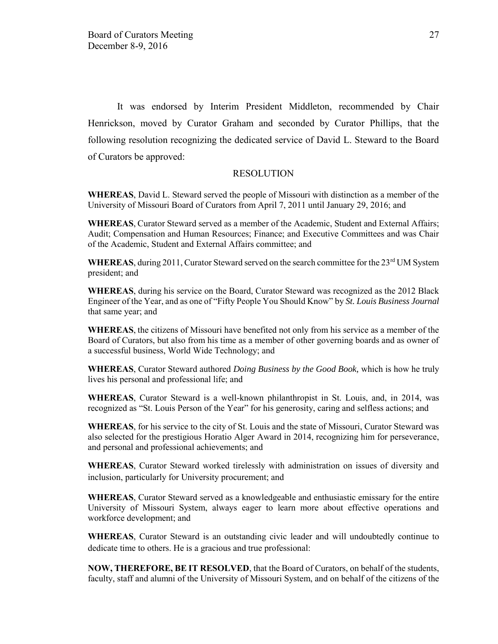It was endorsed by Interim President Middleton, recommended by Chair Henrickson, moved by Curator Graham and seconded by Curator Phillips, that the following resolution recognizing the dedicated service of David L. Steward to the Board of Curators be approved:

#### RESOLUTION

**WHEREAS**, David L. Steward served the people of Missouri with distinction as a member of the University of Missouri Board of Curators from April 7, 2011 until January 29, 2016; and

**WHEREAS**, Curator Steward served as a member of the Academic, Student and External Affairs; Audit; Compensation and Human Resources; Finance; and Executive Committees and was Chair of the Academic, Student and External Affairs committee; and

WHEREAS, during 2011, Curator Steward served on the search committee for the 23<sup>rd</sup> UM System president; and

**WHEREAS**, during his service on the Board, Curator Steward was recognized as the 2012 Black Engineer of the Year, and as one of "Fifty People You Should Know" by *St. Louis Business Journal* that same year; and

**WHEREAS**, the citizens of Missouri have benefited not only from his service as a member of the Board of Curators, but also from his time as a member of other governing boards and as owner of a successful business, World Wide Technology; and

**WHEREAS**, Curator Steward authored *Doing Business by the Good Book,* which is how he truly lives his personal and professional life; and

**WHEREAS**, Curator Steward is a well-known philanthropist in St. Louis, and, in 2014, was recognized as "St. Louis Person of the Year" for his generosity, caring and selfless actions; and

**WHEREAS**, for his service to the city of St. Louis and the state of Missouri, Curator Steward was also selected for the prestigious Horatio Alger Award in 2014, recognizing him for perseverance, and personal and professional achievements; and

**WHEREAS**, Curator Steward worked tirelessly with administration on issues of diversity and inclusion, particularly for University procurement; and

**WHEREAS**, Curator Steward served as a knowledgeable and enthusiastic emissary for the entire University of Missouri System, always eager to learn more about effective operations and workforce development; and

**WHEREAS**, Curator Steward is an outstanding civic leader and will undoubtedly continue to dedicate time to others. He is a gracious and true professional:

**NOW, THEREFORE, BE IT RESOLVED**, that the Board of Curators, on behalf of the students, faculty, staff and alumni of the University of Missouri System, and on behalf of the citizens of the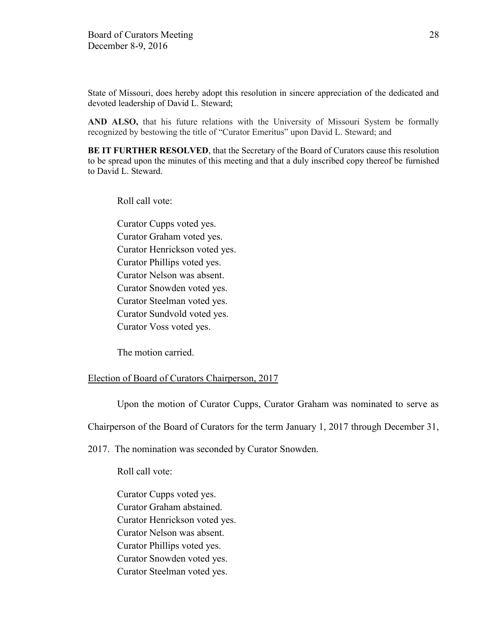State of Missouri, does hereby adopt this resolution in sincere appreciation of the dedicated and devoted leadership of David L. Steward;

**AND ALSO,** that his future relations with the University of Missouri System be formally recognized by bestowing the title of "Curator Emeritus" upon David L. Steward; and

**BE IT FURTHER RESOLVED**, that the Secretary of the Board of Curators cause this resolution to be spread upon the minutes of this meeting and that a duly inscribed copy thereof be furnished to David L. Steward.

Roll call vote:

Curator Cupps voted yes. Curator Graham voted yes. Curator Henrickson voted yes. Curator Phillips voted yes. Curator Nelson was absent. Curator Snowden voted yes. Curator Steelman voted yes. Curator Sundvold voted yes. Curator Voss voted yes.

The motion carried.

#### Election of Board of Curators Chairperson, 2017

Upon the motion of Curator Cupps, Curator Graham was nominated to serve as

Chairperson of the Board of Curators for the term January 1, 2017 through December 31,

2017. The nomination was seconded by Curator Snowden.

Roll call vote:

Curator Cupps voted yes. Curator Graham abstained. Curator Henrickson voted yes. Curator Nelson was absent. Curator Phillips voted yes. Curator Snowden voted yes. Curator Steelman voted yes.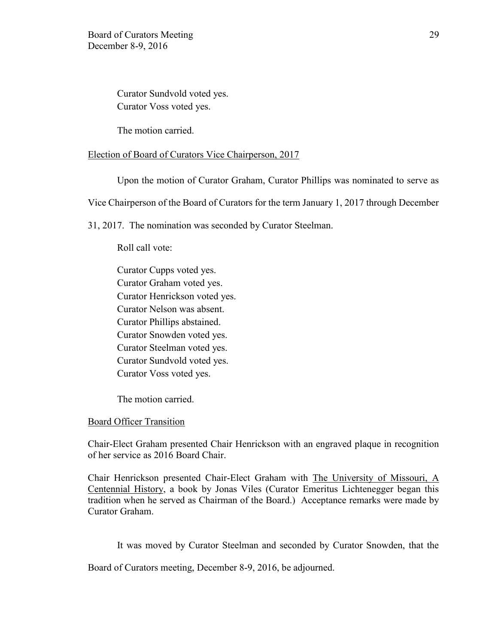Curator Sundvold voted yes. Curator Voss voted yes.

The motion carried.

#### Election of Board of Curators Vice Chairperson, 2017

Upon the motion of Curator Graham, Curator Phillips was nominated to serve as

Vice Chairperson of the Board of Curators for the term January 1, 2017 through December

31, 2017. The nomination was seconded by Curator Steelman.

Roll call vote:

Curator Cupps voted yes. Curator Graham voted yes. Curator Henrickson voted yes. Curator Nelson was absent. Curator Phillips abstained. Curator Snowden voted yes. Curator Steelman voted yes. Curator Sundvold voted yes. Curator Voss voted yes.

The motion carried.

### Board Officer Transition

Chair-Elect Graham presented Chair Henrickson with an engraved plaque in recognition of her service as 2016 Board Chair.

Chair Henrickson presented Chair-Elect Graham with The University of Missouri, A Centennial History, a book by Jonas Viles (Curator Emeritus Lichtenegger began this tradition when he served as Chairman of the Board.) Acceptance remarks were made by Curator Graham.

It was moved by Curator Steelman and seconded by Curator Snowden, that the

Board of Curators meeting, December 8-9, 2016, be adjourned.